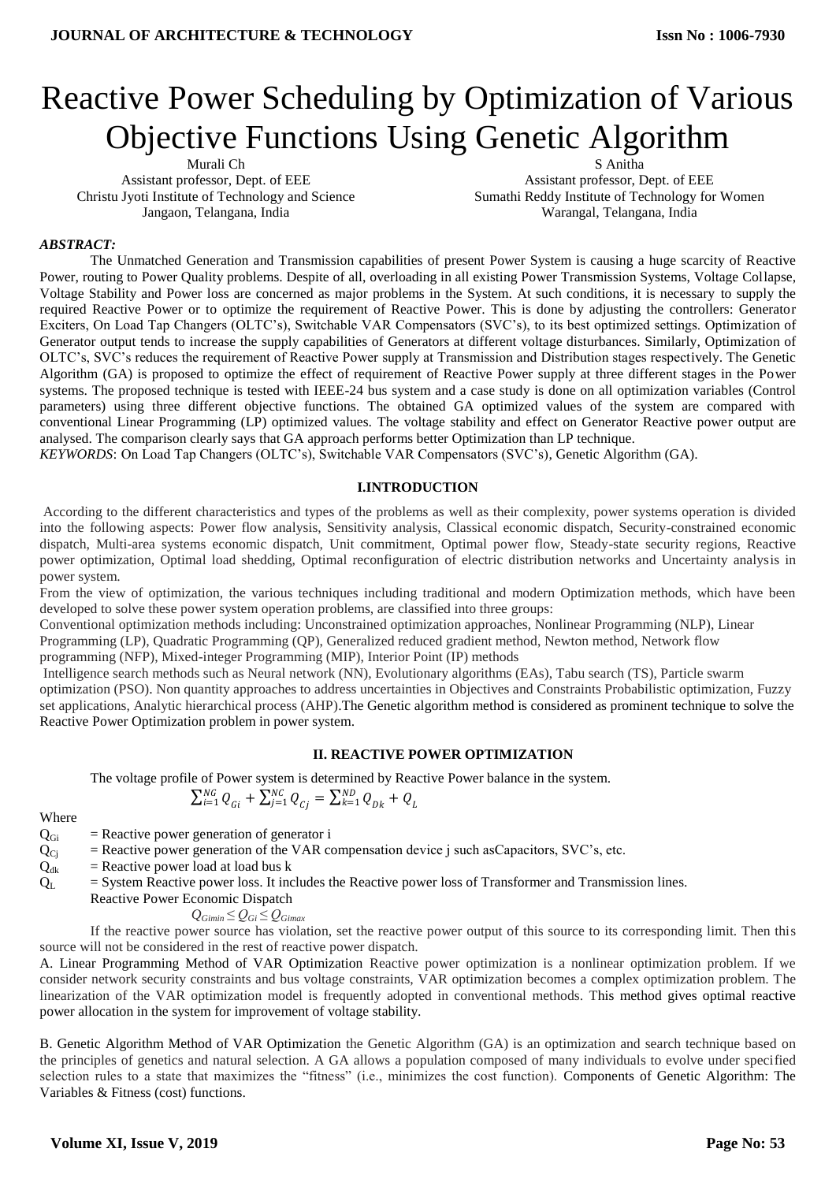# Reactive Power Scheduling by Optimization of Various Objective Functions Using Genetic Algorithm

Murali Ch Assistant professor, Dept. of EEE Christu Jyoti Institute of Technology and Science Jangaon, Telangana, India

Assistant professor, Dept. of EEE Sumathi Reddy Institute of Technology for Women Warangal, Telangana, India

S Anitha

#### *ABSTRACT:*

The Unmatched Generation and Transmission capabilities of present Power System is causing a huge scarcity of Reactive Power, routing to Power Quality problems. Despite of all, overloading in all existing Power Transmission Systems, Voltage Collapse, Voltage Stability and Power loss are concerned as major problems in the System. At such conditions, it is necessary to supply the required Reactive Power or to optimize the requirement of Reactive Power. This is done by adjusting the controllers: Generator Exciters, On Load Tap Changers (OLTC's), Switchable VAR Compensators (SVC's), to its best optimized settings. Optimization of Generator output tends to increase the supply capabilities of Generators at different voltage disturbances. Similarly, Optimization of OLTC's, SVC's reduces the requirement of Reactive Power supply at Transmission and Distribution stages respectively. The Genetic Algorithm (GA) is proposed to optimize the effect of requirement of Reactive Power supply at three different stages in the Power systems. The proposed technique is tested with IEEE-24 bus system and a case study is done on all optimization variables (Control parameters) using three different objective functions. The obtained GA optimized values of the system are compared with conventional Linear Programming (LP) optimized values. The voltage stability and effect on Generator Reactive power output are analysed. The comparison clearly says that GA approach performs better Optimization than LP technique.

*KEYWORDS*: On Load Tap Changers (OLTC's), Switchable VAR Compensators (SVC's), Genetic Algorithm (GA).

#### **I.INTRODUCTION**

According to the different characteristics and types of the problems as well as their complexity, power systems operation is divided into the following aspects: Power flow analysis, Sensitivity analysis, Classical economic dispatch, Security-constrained economic dispatch, Multi-area systems economic dispatch, Unit commitment, Optimal power flow, Steady-state security regions, Reactive power optimization, Optimal load shedding, Optimal reconfiguration of electric distribution networks and Uncertainty analysis in power system.

From the view of optimization, the various techniques including traditional and modern Optimization methods, which have been developed to solve these power system operation problems, are classified into three groups:

Conventional optimization methods including: Unconstrained optimization approaches, Nonlinear Programming (NLP), Linear

Programming (LP), Quadratic Programming (QP), Generalized reduced gradient method, Newton method, Network flow

programming (NFP), Mixed-integer Programming (MIP), Interior Point (IP) methods

Intelligence search methods such as Neural network (NN), Evolutionary algorithms (EAs), Tabu search (TS), Particle swarm optimization (PSO). Non quantity approaches to address uncertainties in Objectives and Constraints Probabilistic optimization, Fuzzy set applications, Analytic hierarchical process (AHP).The Genetic algorithm method is considered as prominent technique to solve the Reactive Power Optimization problem in power system.

#### **II. REACTIVE POWER OPTIMIZATION**

The voltage profile of Power system is determined by Reactive Power balance in the system.

$$
\sum_{i=1}^{NG} Q_{Gi} + \sum_{j=1}^{NC} Q_{Ci} = \sum_{k=1}^{ND} Q_{Dk} + Q_L
$$

Where

- $Q<sub>Gi</sub>$  = Reactive power generation of generator i
- $Q_{Ci}$  = Reactive power generation of the VAR compensation device j such asCapacitors, SVC's, etc.
- $Q_{dk}$  = Reactive power load at load bus k
- $Q_L$  = System Reactive power loss. It includes the Reactive power loss of Transformer and Transmission lines.
	- Reactive Power Economic Dispatch

$$
Q_{Gimin} \leq Q_{Gi} \leq Q_{Gimax}
$$

If the reactive power source has violation, set the reactive power output of this source to its corresponding limit. Then this source will not be considered in the rest of reactive power dispatch.

A. Linear Programming Method of VAR Optimization Reactive power optimization is a nonlinear optimization problem. If we consider network security constraints and bus voltage constraints, VAR optimization becomes a complex optimization problem. The linearization of the VAR optimization model is frequently adopted in conventional methods. This method gives optimal reactive power allocation in the system for improvement of voltage stability.

B. Genetic Algorithm Method of VAR Optimization the Genetic Algorithm (GA) is an optimization and search technique based on the principles of genetics and natural selection. A GA allows a population composed of many individuals to evolve under specified selection rules to a state that maximizes the "fitness" (i.e., minimizes the cost function). Components of Genetic Algorithm: The Variables & Fitness (cost) functions.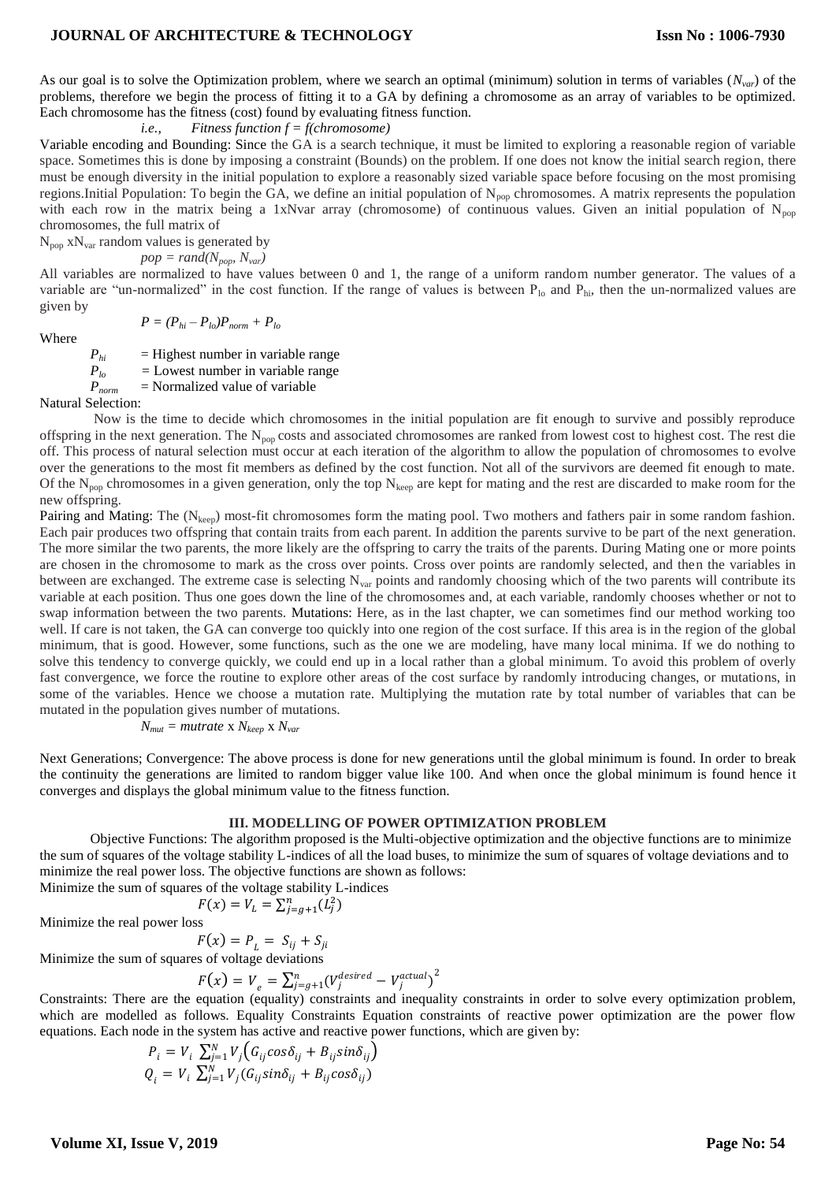As our goal is to solve the Optimization problem, where we search an optimal (minimum) solution in terms of variables (*Nvar*) of the problems, therefore we begin the process of fitting it to a GA by defining a chromosome as an array of variables to be optimized. Each chromosome has the fitness (cost) found by evaluating fitness function.

*i.e., Fitness function f = f(chromosome)*

Variable encoding and Bounding: Since the GA is a search technique, it must be limited to exploring a reasonable region of variable space. Sometimes this is done by imposing a constraint (Bounds) on the problem. If one does not know the initial search region, there must be enough diversity in the initial population to explore a reasonably sized variable space before focusing on the most promising regions.Initial Population: To begin the GA, we define an initial population of N<sub>pop</sub> chromosomes. A matrix represents the population with each row in the matrix being a 1xNvar array (chromosome) of continuous values. Given an initial population of N<sub>pop</sub> chromosomes, the full matrix of

 $N_{pop}$  x $N_{var}$  random values is generated by

 $pop = rand(N_{pop}, N_{var})$ 

All variables are normalized to have values between 0 and 1, the range of a uniform random number generator. The values of a variable are "un-normalized" in the cost function. If the range of values is between  $P_{10}$  and  $P_{hi}$ , then the un-normalized values are given by

Where

 $P = (P_{hi} - P_{lo})P_{norm} + P_{lo}$ 

 $=$  Highest number in variable range

*Plo =* Lowest number in variable range

 $P_{lo}$  = Lowest number in variable rate  $P_{norm}$  = Normalized value of variable

Natural Selection:

Now is the time to decide which chromosomes in the initial population are fit enough to survive and possibly reproduce offspring in the next generation. The  $N_{pop}$  costs and associated chromosomes are ranked from lowest cost to highest cost. The rest die off. This process of natural selection must occur at each iteration of the algorithm to allow the population of chromosomes to evolve over the generations to the most fit members as defined by the cost function. Not all of the survivors are deemed fit enough to mate. Of the  $N_{pop}$  chromosomes in a given generation, only the top  $N_{keep}$  are kept for mating and the rest are discarded to make room for the new offspring.

Pairing and Mating: The  $(N_{keep})$  most-fit chromosomes form the mating pool. Two mothers and fathers pair in some random fashion. Each pair produces two offspring that contain traits from each parent. In addition the parents survive to be part of the next generation. The more similar the two parents, the more likely are the offspring to carry the traits of the parents. During Mating one or more points are chosen in the chromosome to mark as the cross over points. Cross over points are randomly selected, and then the variables in between are exchanged. The extreme case is selecting  $N_{var}$  points and randomly choosing which of the two parents will contribute its variable at each position. Thus one goes down the line of the chromosomes and, at each variable, randomly chooses whether or not to swap information between the two parents. Mutations: Here, as in the last chapter, we can sometimes find our method working too well. If care is not taken, the GA can converge too quickly into one region of the cost surface. If this area is in the region of the global minimum, that is good. However, some functions, such as the one we are modeling, have many local minima. If we do nothing to solve this tendency to converge quickly, we could end up in a local rather than a global minimum. To avoid this problem of overly fast convergence, we force the routine to explore other areas of the cost surface by randomly introducing changes, or mutations, in some of the variables. Hence we choose a mutation rate. Multiplying the mutation rate by total number of variables that can be mutated in the population gives number of mutations.

$$
N_{mut} = mutrate \times N_{keep} \times N_{var}
$$

Next Generations; Convergence: The above process is done for new generations until the global minimum is found. In order to break the continuity the generations are limited to random bigger value like 100. And when once the global minimum is found hence it converges and displays the global minimum value to the fitness function.

#### **III. MODELLING OF POWER OPTIMIZATION PROBLEM**

Objective Functions: The algorithm proposed is the Multi-objective optimization and the objective functions are to minimize the sum of squares of the voltage stability L-indices of all the load buses, to minimize the sum of squares of voltage deviations and to minimize the real power loss. The objective functions are shown as follows:

Minimize the sum of squares of the voltage stability L-indices

$$
F(x) = V_L = \sum_{j=g+1}^n (L_j^2)
$$

Minimize the real power loss

 $F(x) = P_{L} = S_{ij} + S_{ji}$ 

Minimize the sum of squares of voltage deviations

 $F(x) = V_a = \sum_{i=a+1}^{n} (V_i^{desired} - V_i^{actual})^2$ j

Constraints: There are the equation (equality) constraints and inequality constraints in order to solve every optimization problem, which are modelled as follows. Equality Constraints Equation constraints of reactive power optimization are the power flow equations. Each node in the system has active and reactive power functions, which are given by:

$$
P_i = V_i \sum_{j=1}^{N} V_j \Big( G_{ij} cos \delta_{ij} + B_{ij} sin \delta_{ij} \Big)
$$
  

$$
Q_i = V_i \sum_{j=1}^{N} V_j (G_{ij} sin \delta_{ij} + B_{ij} cos \delta_{ij})
$$

**Volume XI, Issue V, 2019**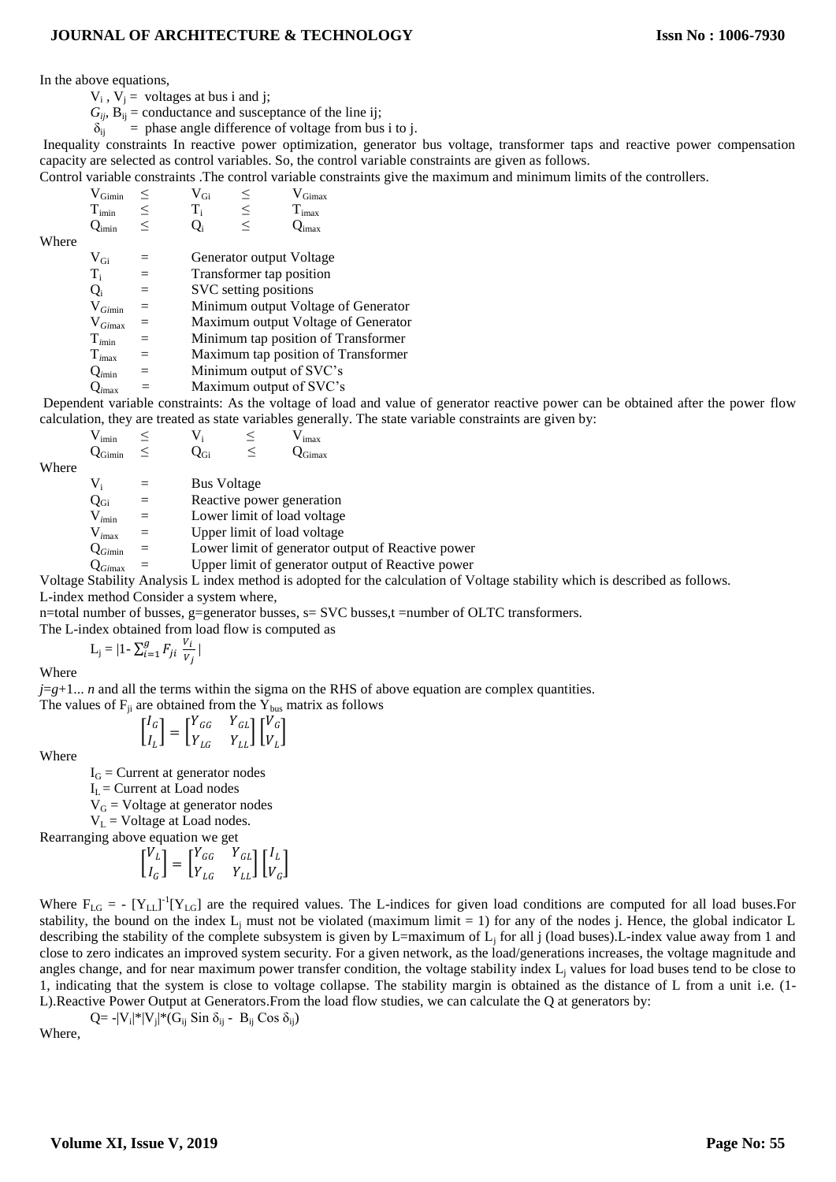In the above equations,

 $V_i$ ,  $V_j$  = voltages at bus i and j;

 $G_{ii}$ ,  $B_{ii}$  = conductance and susceptance of the line ij;

 $\delta_{ij}$  = phase angle difference of voltage from bus i to j.

Inequality constraints In reactive power optimization, generator bus voltage, transformer taps and reactive power compensation capacity are selected as control variables. So, the control variable constraints are given as follows.

Control variable constraints .The control variable constraints give the maximum and minimum limits of the controllers.

 $V_{Gimin} \leq V_{Gi} \leq V_{Gin} \leq V_{Gimax}$ <br>  $T_{imin} \leq T_i \leq T_{imax}$  $T_{\text{imin}}$   $\leq$   $T_i$   $\leq$   $T_{\text{imax}}$ <br>  $Q_{\text{imin}}$   $\leq$   $Q_i$   $\leq$   $Q_{\text{imax}}$  $Q_{\text{imin}} \leq Q_{\text{i}} \leq Q_{\text{imax}}$ 

Where

Ti

 $V_{\text{Gi}}$  = Generator output Voltage

= Transformer tap position

 $Q_i$  = SVC setting positions

V<sub>*Gimin* = Minimum output Voltage of Generator<br>V<sub>*Gimax* = Maximum output Voltage of Generator</sub></sub>

 $=$  Maximum output Voltage of Generator

T*i*min = Minimum tap position of Transformer

T*i*max = Maximum tap position of Transformer

 $Q_{\text{imin}}$  = Minimum output of SVC's

Q*i*max *=* Maximum output of SVC's

Dependent variable constraints: As the voltage of load and value of generator reactive power can be obtained after the power flow calculation, they are treated as state variables generally. The state variable constraints are given by:

$$
\begin{array}{ccc} V_{imin} & \leq & V_i & \leq & V_{imax} \\ Q_{Gimin} & \leq & Q_{Gi} & \leq & Q_{Gimax} \end{array}
$$

Where

 $V_i$  = Bus Voltage

 $Q_{Gi}$  = Reactive power generation<br> $V_{imin}$  = Lower limit of load voltage

= Lower limit of load voltage

V<sub>imax</sub> = Upper limit of load voltage<br>  $Q_{Gimin}$  = Lower limit of generator ou

 $\epsilon$  Lower limit of generator output of Reactive power

Q*Gi*max = Upper limit of generator output of Reactive power

Voltage Stability Analysis L index method is adopted for the calculation of Voltage stability which is described as follows. L-index method Consider a system where,

n=total number of busses, g=generator busses, s= SVC busses,t =number of OLTC transformers.

The L-index obtained from load flow is computed as

$$
L_j = |1 - \sum_{i=1}^g F_{ji} \frac{v_i}{v_j}|
$$

Where

 $j = g + 1$ ... *n* and all the terms within the sigma on the RHS of above equation are complex quantities. The values of  $F_{ii}$  are obtained from the  $Y_{bus}$  matrix as follows

$$
\begin{bmatrix} I_G \\ I_L \end{bmatrix} = \begin{bmatrix} Y_{GG} & Y_{GL} \\ Y_{LG} & Y_{LL} \end{bmatrix} \begin{bmatrix} V_G \\ V_L \end{bmatrix}
$$

Where

 $I_G$  = Current at generator nodes

 $I_L$  = Current at Load nodes

 $V_G$  = Voltage at generator nodes

 $V_L$  = Voltage at Load nodes.

Rearranging above equation we get

$$
\begin{bmatrix} V_L \\ I_G \end{bmatrix} = \begin{bmatrix} Y_{GG} & Y_{GL} \\ Y_{LG} & Y_{LL} \end{bmatrix} \begin{bmatrix} I_L \\ V_G \end{bmatrix}
$$

Where  $F_{LG}$  = -  $[Y_{LL}]$ <sup>-1</sup> $[Y_{LG}]$  are the required values. The L-indices for given load conditions are computed for all load buses. For stability, the bound on the index  $L_i$  must not be violated (maximum limit = 1) for any of the nodes j. Hence, the global indicator L describing the stability of the complete subsystem is given by L=maximum of  $L_i$  for all j (load buses).L-index value away from 1 and close to zero indicates an improved system security. For a given network, as the load/generations increases, the voltage magnitude and angles change, and for near maximum power transfer condition, the voltage stability index L<sub>j</sub> values for load buses tend to be close to 1, indicating that the system is close to voltage collapse. The stability margin is obtained as the distance of L from a unit i.e. (1- L).Reactive Power Output at Generators.From the load flow studies, we can calculate the Q at generators by:

Q =  $-V_i|^*|V_j|^*(G_{ij} \sin \delta_{ij} - B_{ij} \cos \delta_{ij})$ 

Where,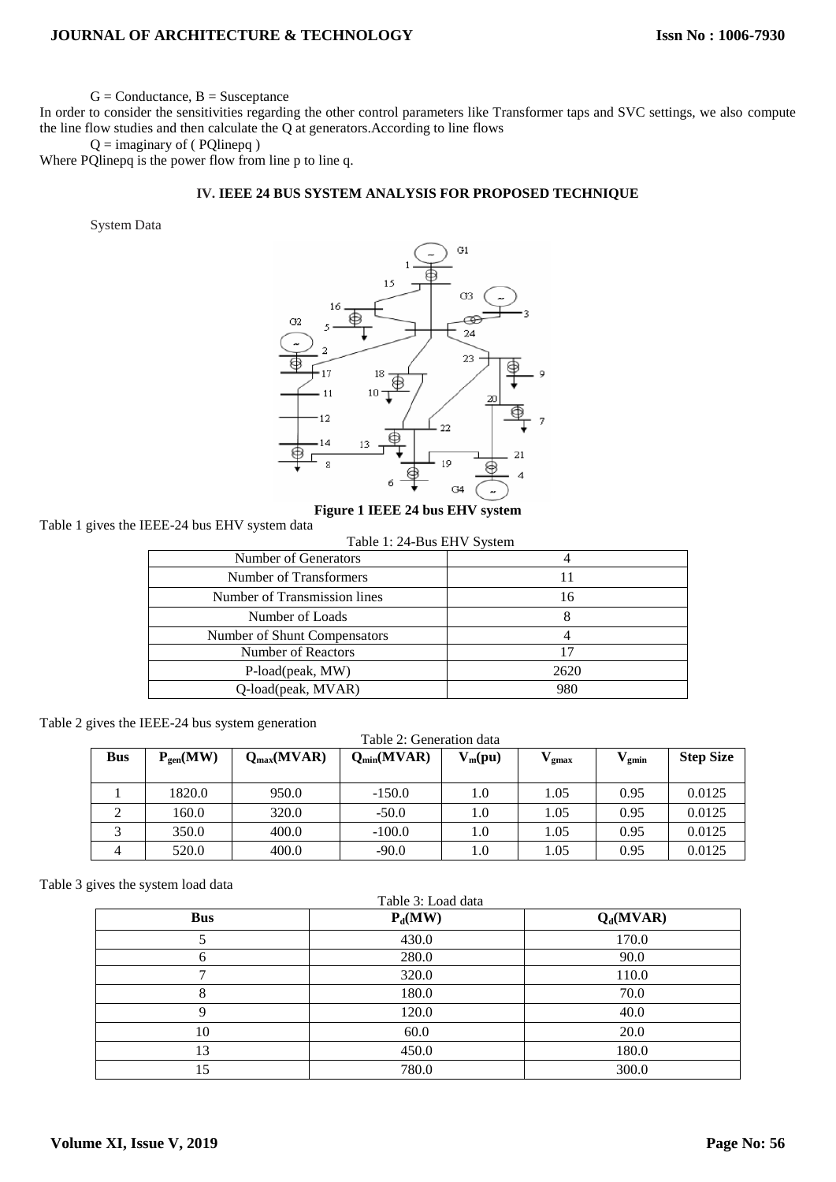$G =$ Conductance,  $B =$ Susceptance

In order to consider the sensitivities regarding the other control parameters like Transformer taps and SVC settings, we also compute the line flow studies and then calculate the Q at generators.According to line flows

 $Q =$  imaginary of (PQlinepq)

Where PQlinepq is the power flow from line p to line q.

## **IV. IEEE 24 BUS SYSTEM ANALYSIS FOR PROPOSED TECHNIQUE**

System Data



#### **Figure 1 IEEE 24 bus EHV system**

Table 1 gives the IEEE-24 bus EHV system data

|  | Table 1: 24-Bus EHV System |  |  |
|--|----------------------------|--|--|
|--|----------------------------|--|--|

| Number of Generators         |      |
|------------------------------|------|
| Number of Transformers       | 11   |
| Number of Transmission lines | 16   |
| Number of Loads              |      |
| Number of Shunt Compensators |      |
| Number of Reactors           | 17   |
| P-load(peak, MW)             | 2620 |
| Q-load(peak, MVAR)           | 980  |

Table 2 gives the IEEE-24 bus system generation

Table 2: Generation data

| <b>Bus</b> | $P_{gen}(MW)$ | $Q_{max}(MVAR)$ | $Q_{min}(MVAR)$ | $V_m(pu)$ | gmax | $^\prime$ gmin | <b>Step Size</b> |
|------------|---------------|-----------------|-----------------|-----------|------|----------------|------------------|
|            | 1820.0        | 950.0           | $-150.0$        | 1.0       | 1.05 | 0.95           | 0.0125           |
|            | 160.0         | 320.0           | $-50.0$         | 1.0       | l.05 | 0.95           | 0.0125           |
|            | 350.0         | 400.0           | $-100.0$        | 1.0       | 0.05 | 0.95           | 0.0125           |
|            | 520.0         | 400.0           | $-90.0$         | 1.0       | .05  | 0.95           | 0.0125           |

Table 3 gives the system load data

| Table 3: Load data |           |             |  |
|--------------------|-----------|-------------|--|
| <b>Bus</b>         | $P_d(MW)$ | $Q_d(MVAR)$ |  |
|                    | 430.0     | 170.0       |  |
| h                  | 280.0     | 90.0        |  |
| −                  | 320.0     | 110.0       |  |
|                    | 180.0     | 70.0        |  |
| Q                  | 120.0     | 40.0        |  |
| 10                 | 60.0      | 20.0        |  |
| 13                 | 450.0     | 180.0       |  |
| 15                 | 780.0     | 300.0       |  |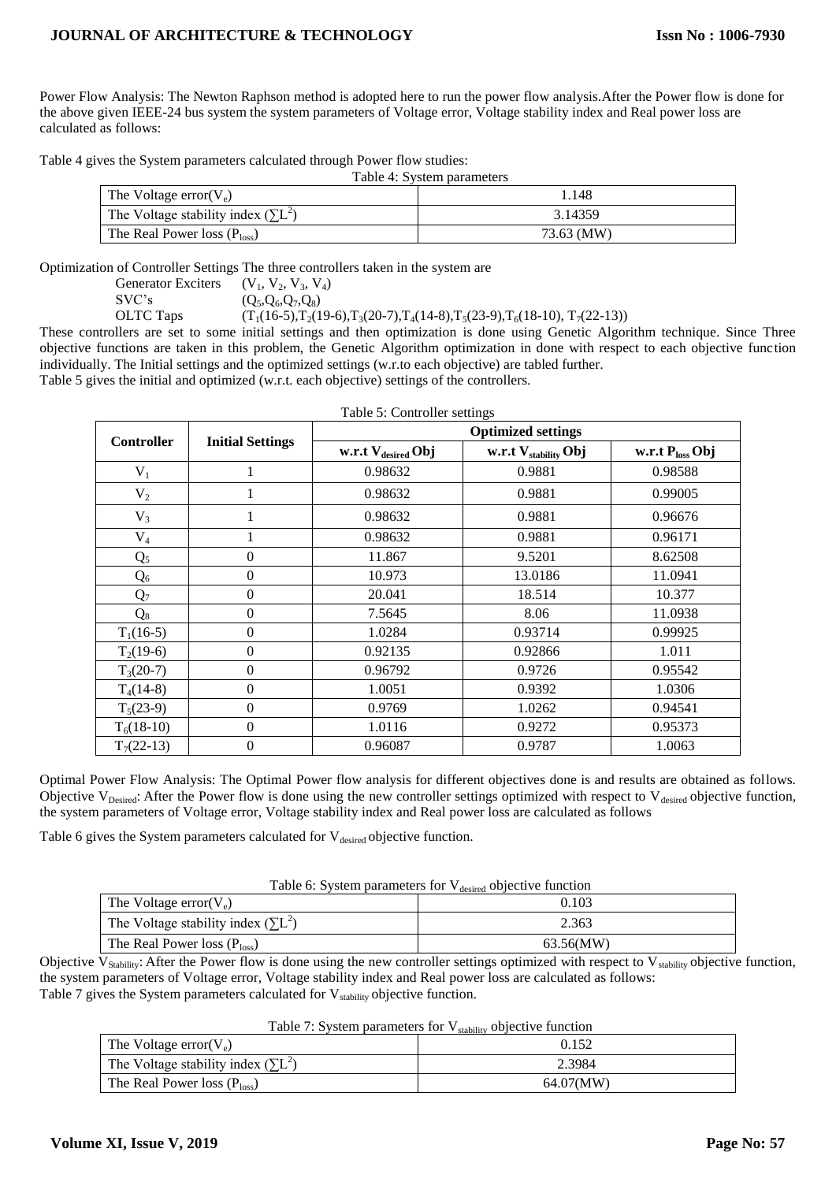Power Flow Analysis: The Newton Raphson method is adopted here to run the power flow analysis.After the Power flow is done for the above given IEEE-24 bus system the system parameters of Voltage error, Voltage stability index and Real power loss are calculated as follows:

Table 4 gives the System parameters calculated through Power flow studies:

Table 4: System parameters

| The Voltage error $(V_e)$                  | .148       |
|--------------------------------------------|------------|
| The Voltage stability index $(\Sigma L^2)$ | 3.14359    |
| The Real Power loss $(P_{loss})$           | 73.63 (MW) |

Optimization of Controller Settings The three controllers taken in the system are

Generator Exciters  $(V_1, V_2, V_3, V_4)$ <br>SVC's  $(O_5, O_6, O_7, O_8)$ SVC's  $(Q_5, Q_6, Q_7, Q_8)$ <br>OLTC Taps  $(T_1(16-5), T_2(16-5))$ 

 $(T_1(16-5), T_2(19-6), T_3(20-7), T_4(14-8), T_5(23-9), T_6(18-10), T_7(22-13))$ 

These controllers are set to some initial settings and then optimization is done using Genetic Algorithm technique. Since Three objective functions are taken in this problem, the Genetic Algorithm optimization in done with respect to each objective function individually. The Initial settings and the optimized settings (w.r.to each objective) are tabled further. Table 5 gives the initial and optimized (w.r.t. each objective) settings of the controllers.

| Table 5: Controller settings |                         |                           |                           |                      |  |
|------------------------------|-------------------------|---------------------------|---------------------------|----------------------|--|
| <b>Controller</b>            | <b>Initial Settings</b> | <b>Optimized settings</b> |                           |                      |  |
|                              |                         | w.r.t $V_{desired}$ Obj   | w.r.t $V_{stability}$ Obj | w.r.t $P_{loss}$ Obj |  |
| $V_1$                        |                         | 0.98632                   | 0.9881                    | 0.98588              |  |
| $V_2$                        |                         | 0.98632                   | 0.9881                    | 0.99005              |  |
| $V_3$                        |                         | 0.98632                   | 0.9881                    | 0.96676              |  |
| $V_4$                        |                         | 0.98632                   | 0.9881                    | 0.96171              |  |
| Q <sub>5</sub>               | $\boldsymbol{0}$        | 11.867                    | 9.5201                    | 8.62508              |  |
| $Q_6$                        | $\boldsymbol{0}$        | 10.973                    | 13.0186                   | 11.0941              |  |
| Q <sub>7</sub>               | $\overline{0}$          | 20.041                    | 18.514                    | 10.377               |  |
| $Q_8$                        | $\boldsymbol{0}$        | 7.5645                    | 8.06                      | 11.0938              |  |
| $T_1(16-5)$                  | $\overline{0}$          | 1.0284                    | 0.93714                   | 0.99925              |  |
| $T_2(19-6)$                  | $\Omega$                | 0.92135                   | 0.92866                   | 1.011                |  |
| $T_3(20-7)$                  | $\Omega$                | 0.96792                   | 0.9726                    | 0.95542              |  |
| $T_4(14-8)$                  | $\Omega$                | 1.0051                    | 0.9392                    | 1.0306               |  |
| $T_5(23-9)$                  | $\Omega$                | 0.9769                    | 1.0262                    | 0.94541              |  |
| $T_6(18-10)$                 | $\theta$                | 1.0116                    | 0.9272                    | 0.95373              |  |
| $T_7(22-13)$                 | $\boldsymbol{0}$        | 0.96087                   | 0.9787                    | 1.0063               |  |

Optimal Power Flow Analysis: The Optimal Power flow analysis for different objectives done is and results are obtained as follows. Objective  $V_{\text{Desired}}$ : After the Power flow is done using the new controller settings optimized with respect to  $V_{\text{desired}}$  objective function, the system parameters of Voltage error, Voltage stability index and Real power loss are calculated as follows

Table 6 gives the System parameters calculated for  $V_{desired}$  objective function.

| Table 6: System parameters for V <sub>desired</sub> objective function |  |  |  |
|------------------------------------------------------------------------|--|--|--|
|------------------------------------------------------------------------|--|--|--|

| The Voltage error( $V_e$ )                 | 0.103     |
|--------------------------------------------|-----------|
| The Voltage stability index $(\Sigma L^2)$ | 2.363     |
| The Real Power loss $(P_{loss})$           | 63.56(MW) |

Objective  $V_{Stability}$ : After the Power flow is done using the new controller settings optimized with respect to  $V_{stability}$  objective function, the system parameters of Voltage error, Voltage stability index and Real power loss are calculated as follows: Table 7 gives the System parameters calculated for  $V_{\text{stability}}$  objective function.

| <b>Table 7:</b> System parameters for $\bf{v}_{stability}$ objective function |           |  |
|-------------------------------------------------------------------------------|-----------|--|
| The Voltage error $(V_e)$                                                     | 0.152     |  |
| The Voltage stability index $(\Sigma L^2)$                                    | 2.3984    |  |
| The Real Power loss $(P_{loss})$                                              | 64.07(MW) |  |

| Table 7: System parameters for $V_{stability}$ objective function |  |  |
|-------------------------------------------------------------------|--|--|
|-------------------------------------------------------------------|--|--|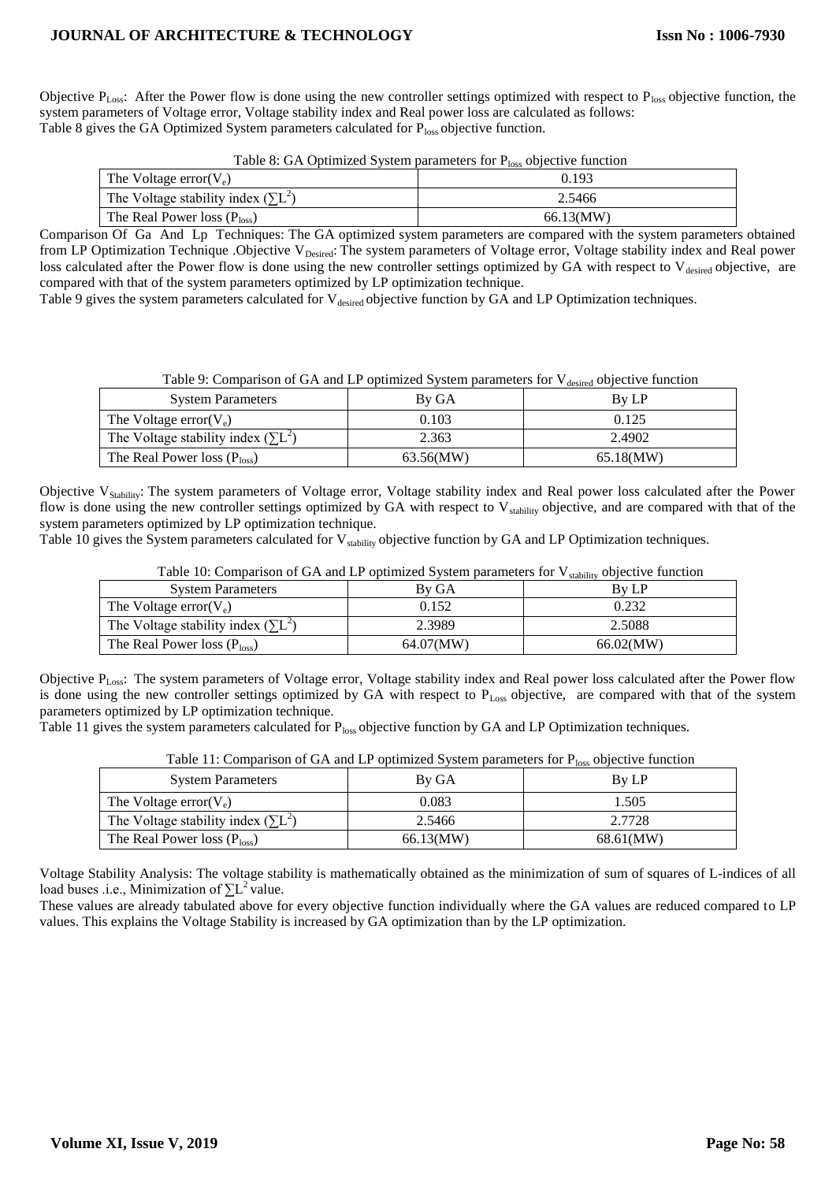Objective  $P_{Loss}$ : After the Power flow is done using the new controller settings optimized with respect to  $P_{loss}$  objective function, the system parameters of Voltage error, Voltage stability index and Real power loss are calculated as follows: Table 8 gives the GA Optimized System parameters calculated for Ploss objective function.

Table 8: GA Optimized System parameters for  $P_{loss}$  objective function

| The Voltage error $(V_e)$                  | 0.193     |
|--------------------------------------------|-----------|
| The Voltage stability index $(\Sigma L^2)$ | 2.5466    |
| The Real Power loss $(P_{loss})$           | 66.13(MW) |

Comparison Of Ga And Lp Techniques: The GA optimized system parameters are compared with the system parameters obtained from LP Optimization Technique .Objective V<sub>Desired</sub>: The system parameters of Voltage error, Voltage stability index and Real power loss calculated after the Power flow is done using the new controller settings optimized by GA with respect to V<sub>desired</sub> objective, are compared with that of the system parameters optimized by LP optimization technique.

Table 9 gives the system parameters calculated for V<sub>desired</sub> objective function by GA and LP Optimization techniques.

Table 9: Comparison of GA and LP optimized System parameters for  $V_{\text{desired}}$  objective function

| <b>System Parameters</b>                   | By GA     | <b>By LP</b> |
|--------------------------------------------|-----------|--------------|
| The Voltage error $(V_e)$                  | 0.103     | 0.125        |
| The Voltage stability index $(\Sigma L^2)$ | 2.363     | 2.4902       |
| The Real Power loss $(Ploss)$              | 63.56(MW) | 65.18(MW)    |

Objective V<sub>Stability</sub>: The system parameters of Voltage error, Voltage stability index and Real power loss calculated after the Power flow is done using the new controller settings optimized by GA with respect to V<sub>stability</sub> objective, and are compared with that of the system parameters optimized by LP optimization technique.

Table 10 gives the System parameters calculated for V<sub>stability</sub> objective function by GA and LP Optimization techniques.

| <b>System Parameters</b>                   | By GA     | 500011103<br>By LP |
|--------------------------------------------|-----------|--------------------|
| The Voltage error $(V_e)$                  | 0.152     | 0.232              |
| The Voltage stability index $(\Sigma L^2)$ | 2.3989    | 2.5088             |
| The Real Power loss $(Ploss)$              | 64.07(MW) | 66.02(MW)          |

Table 10: Comparison of GA and LP optimized System parameters for  $V_{stability}$  objective function

Objective PLoss: The system parameters of Voltage error, Voltage stability index and Real power loss calculated after the Power flow is done using the new controller settings optimized by GA with respect to P<sub>Loss</sub> objective, are compared with that of the system parameters optimized by LP optimization technique.

Table 11 gives the system parameters calculated for P<sub>loss</sub> objective function by GA and LP Optimization techniques.

| <b>System Parameters</b>                   | By GA     | By LP     |
|--------------------------------------------|-----------|-----------|
| The Voltage error $(V_e)$                  | 0.083     | .505      |
| The Voltage stability index $(\Sigma L^2)$ | 2.5466    | 2.7728    |
| The Real Power loss $(P_{loss})$           | 66.13(MW) | 68.61(MW) |

Table 11: Comparison of GA and LP optimized System parameters for  $P_{loss}$  objective function

Voltage Stability Analysis: The voltage stability is mathematically obtained as the minimization of sum of squares of L-indices of all load buses .i.e., Minimization of  $\sum L^2$  value.

These values are already tabulated above for every objective function individually where the GA values are reduced compared to LP values. This explains the Voltage Stability is increased by GA optimization than by the LP optimization.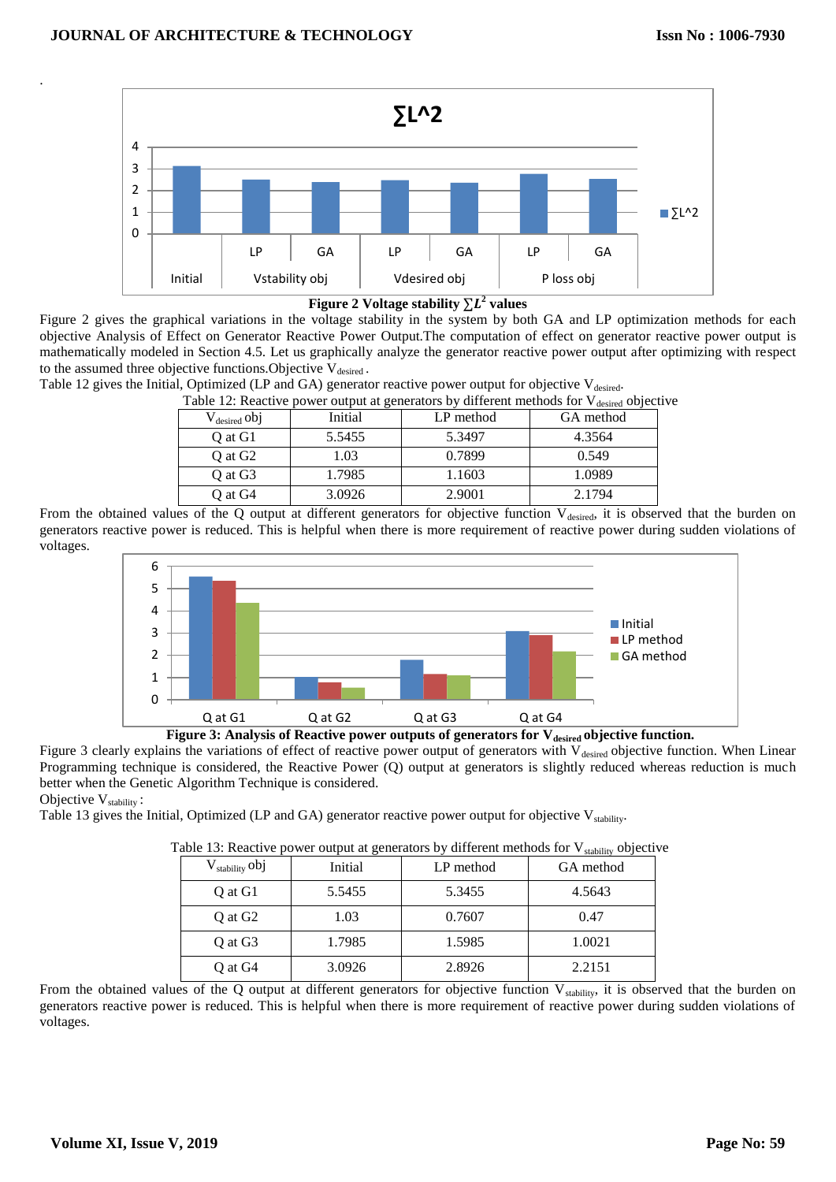



Figure 2 gives the graphical variations in the voltage stability in the system by both GA and LP optimization methods for each objective Analysis of Effect on Generator Reactive Power Output.The computation of effect on generator reactive power output is mathematically modeled in Section 4.5. Let us graphically analyze the generator reactive power output after optimizing with respect to the assumed three objective functions. Objective  $V_{desired}$ .

Table 12 gives the Initial, Optimized (LP and GA) generator reactive power output for objective V<sub>desired</sub>.

Table 12: Reactive power output at generators by different methods for V<sub>desired</sub> objective

|                          | Table 12. Reactive power burput at generators by unferent includes for v desired object |           |           |
|--------------------------|-----------------------------------------------------------------------------------------|-----------|-----------|
| $V_{\text{desired}}$ obj | Initial                                                                                 | LP method | GA method |
| O at G1                  | 5.5455                                                                                  | 5.3497    | 4.3564    |
| O at G <sub>2</sub>      | 1.03                                                                                    | 0.7899    | 0.549     |
| O at G <sub>3</sub>      | 1.7985                                                                                  | 1.1603    | 1.0989    |
| O at G4                  | 3.0926                                                                                  | 2.9001    | 2.1794    |

From the obtained values of the Q output at different generators for objective function  $V_{desired}$ , it is observed that the burden on generators reactive power is reduced. This is helpful when there is more requirement of reactive power during sudden violations of voltages.



**Figure 3: Analysis of Reactive power outputs of generators for Vdesired objective function.**

Figure 3 clearly explains the variations of effect of reactive power output of generators with V<sub>desired</sub> objective function. When Linear Programming technique is considered, the Reactive Power (Q) output at generators is slightly reduced whereas reduction is much better when the Genetic Algorithm Technique is considered.

Objective V<sub>stability</sub>:

.

Table 13 gives the Initial, Optimized (LP and GA) generator reactive power output for objective  $V_{stability}$ .

| $\rm V_{stability}$ obj | Initial | LP method | $\delta$ stability $\sim$ $\sim$ $\sim$ $\sim$<br>GA method |
|-------------------------|---------|-----------|-------------------------------------------------------------|
| Q at G1                 | 5.5455  | 5.3455    | 4.5643                                                      |
| Q at G <sub>2</sub>     | 1.03    | 0.7607    | 0.47                                                        |
| Q at G3                 | 1.7985  | 1.5985    | 1.0021                                                      |
| Q at G4                 | 3.0926  | 2.8926    | 2.2151                                                      |

Table 13: Reactive power output at generators by different methods for  $V_{\text{stability}}$  objective

From the obtained values of the Q output at different generators for objective function  $V_{stability}$ , it is observed that the burden on generators reactive power is reduced. This is helpful when there is more requirement of reactive power during sudden violations of voltages.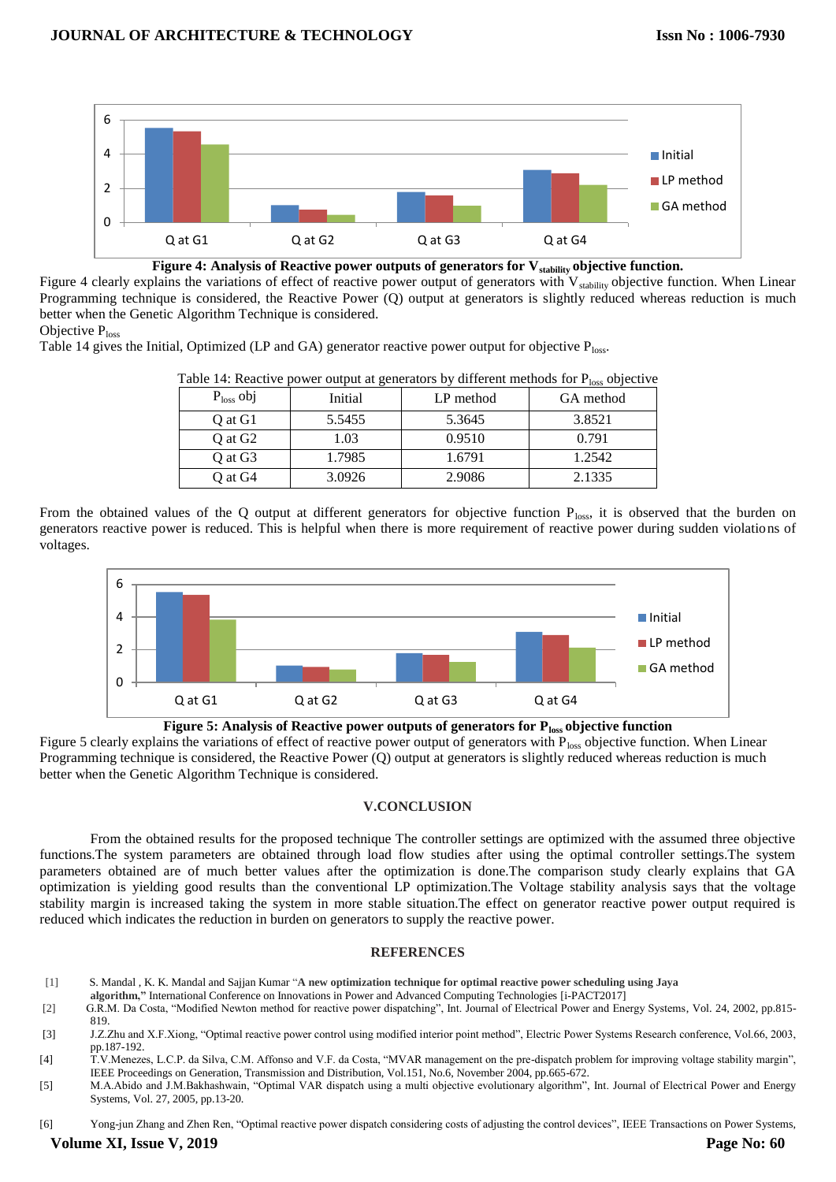

**Figure 4: Analysis of Reactive power outputs of generators for Vstability objective function.**

Figure 4 clearly explains the variations of effect of reactive power output of generators with  $V_{stability}$  objective function. When Linear Programming technique is considered, the Reactive Power (Q) output at generators is slightly reduced whereas reduction is much better when the Genetic Algorithm Technique is considered. Objective P<sub>loss</sub>

Table 14 gives the Initial, Optimized (LP and GA) generator reactive power output for objective  $P_{loss}$ .

| Table 14. Reactive power burput at generators by unicidit includes for 1 loss objective |         |           |           |
|-----------------------------------------------------------------------------------------|---------|-----------|-----------|
| $P_{loss}$ obj                                                                          | Initial | LP method | GA method |
| O at G1                                                                                 | 5.5455  | 5.3645    | 3.8521    |
| Q at G <sub>2</sub>                                                                     | 1.03    | 0.9510    | 0.791     |
| Q at G3                                                                                 | 1.7985  | 1.6791    | 1.2542    |
| Q at G4                                                                                 | 3.0926  | 2.9086    | 2.1335    |

Table  $14$ : Reactive power output at generators by different methods for P. objective

From the obtained values of the Q output at different generators for objective function  $P_{loss}$ , it is observed that the burden on generators reactive power is reduced. This is helpful when there is more requirement of reactive power during sudden violations of voltages.





Figure 5 clearly explains the variations of effect of reactive power output of generators with P<sub>loss</sub> objective function. When Linear Programming technique is considered, the Reactive Power (Q) output at generators is slightly reduced whereas reduction is much better when the Genetic Algorithm Technique is considered.

#### **V.CONCLUSION**

From the obtained results for the proposed technique The controller settings are optimized with the assumed three objective functions.The system parameters are obtained through load flow studies after using the optimal controller settings.The system parameters obtained are of much better values after the optimization is done.The comparison study clearly explains that GA optimization is yielding good results than the conventional LP optimization.The Voltage stability analysis says that the voltage stability margin is increased taking the system in more stable situation.The effect on generator reactive power output required is reduced which indicates the reduction in burden on generators to supply the reactive power.

#### **REFERENCES**

- [1] [S. Mandal](https://ieeexplore.ieee.org/search/searchresult.jsp?searchWithin=%22First%20Name%22:%22S.%22&searchWithin=%22Last%20Name%22:%22Mandal%22&newsearch=true&sortType=newest) , [K. K. Mandal](https://ieeexplore.ieee.org/search/searchresult.jsp?searchWithin=%22First%20Name%22:%22K.%20K.%22&searchWithin=%22Last%20Name%22:%22Mandal%22&newsearch=true&sortType=newest) and [Sajjan Kumar](https://ieeexplore.ieee.org/search/searchresult.jsp?searchWithin=%22First%20Name%22:%22Sajjan%22&searchWithin=%22Last%20Name%22:%22Kumar%22&newsearch=true&sortType=newest) "**A new optimization technique for optimal reactive power scheduling using Jaya**
- **algorithm,"** International Conference on Innovations in Power and Advanced Computing Technologies [i-PACT2017]
- [2] G.R.M. Da Costa, "Modified Newton method for reactive power dispatching", Int. Journal of Electrical Power and Energy Systems, Vol. 24, 2002, pp.815- 819.
- [3] J.Z.Zhu and X.F.Xiong, "Optimal reactive power control using modified interior point method", Electric Power Systems Research conference, Vol.66, 2003, pp.187-192.
- [4] T.V.Menezes, L.C.P. da Silva, C.M. Affonso and V.F. da Costa, "MVAR management on the pre-dispatch problem for improving voltage stability margin", IEEE Proceedings on Generation, Transmission and Distribution, Vol.151, No.6, November 2004, pp.665-672.
- [5] M.A.Abido and J.M.Bakhashwain, "Optimal VAR dispatch using a multi objective evolutionary algorithm", Int. Journal of Electrical Power and Energy Systems, Vol. 27, 2005, pp.13-20.

[6] Yong-jun Zhang and Zhen Ren, "Optimal reactive power dispatch considering costs of adjusting the control devices", IEEE Transactions on Power Systems,

**Volume XI, Issue V, 2019**